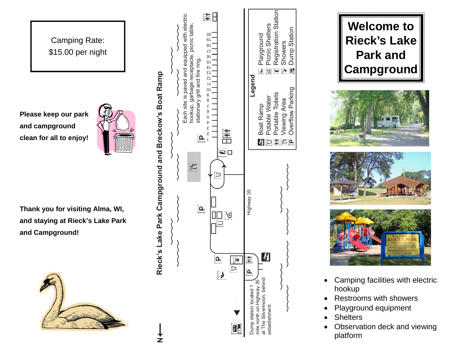Camping Rate: \$15.00 per night

**Please keep our park and campground clean for all to enjoy!** 



**Thank you for visiting Alma, WI, and staying at Rieck's Lake Park and Campground!** 







- Camping facilities with electric hookup
- Restrooms with showers
- Playground equipment
- **Shelters**
- Observation deck and viewing platform